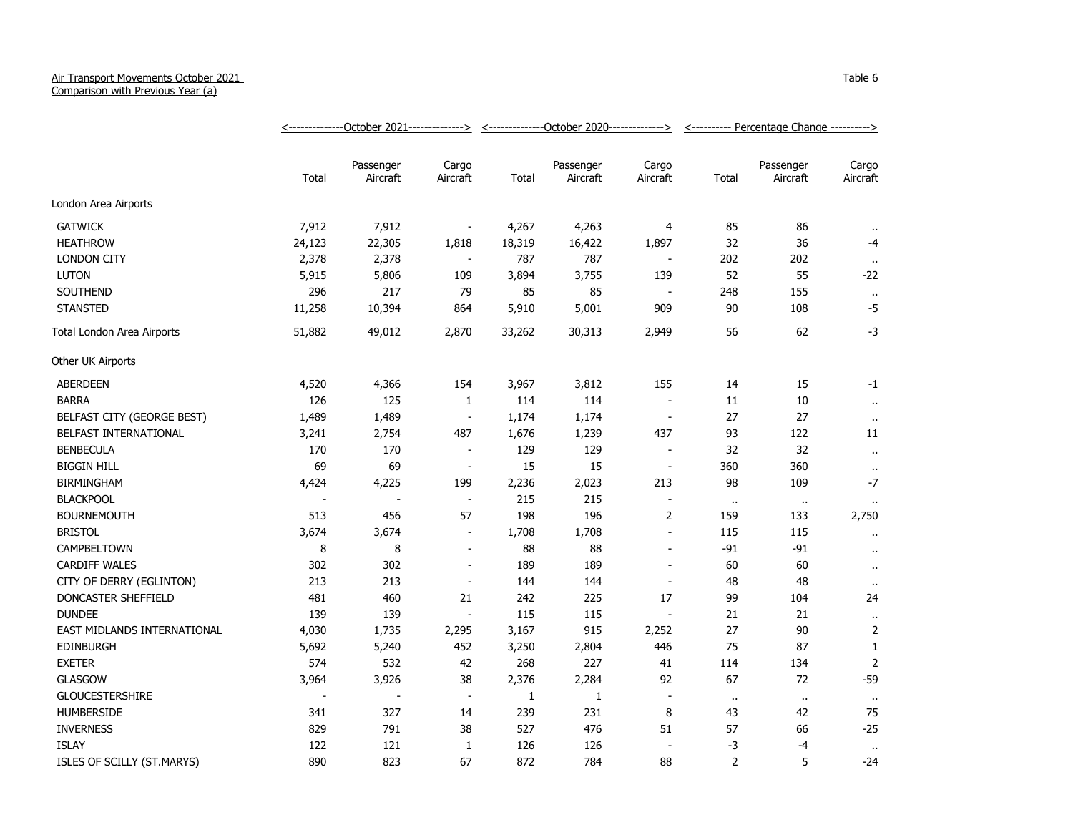## Air Transport Movements October 2021

Comparison with Previous Year (a)

|                             |                          |                          |                          | <u>&lt;--------------October 2021-------------&gt; &lt;--------------October 2020-------------&gt;</u> |                       |                          | <---------- Percentage Change ----------> |                       |                      |
|-----------------------------|--------------------------|--------------------------|--------------------------|--------------------------------------------------------------------------------------------------------|-----------------------|--------------------------|-------------------------------------------|-----------------------|----------------------|
|                             | Total                    | Passenger<br>Aircraft    | Cargo<br>Aircraft        | Total                                                                                                  | Passenger<br>Aircraft | Cargo<br>Aircraft        | Total                                     | Passenger<br>Aircraft | Cargo<br>Aircraft    |
| London Area Airports        |                          |                          |                          |                                                                                                        |                       |                          |                                           |                       |                      |
| <b>GATWICK</b>              | 7,912                    | 7,912                    | $\blacksquare$           | 4,267                                                                                                  | 4,263                 | 4                        | 85                                        | 86                    |                      |
| <b>HEATHROW</b>             | 24,123                   | 22,305                   | 1,818                    | 18,319                                                                                                 | 16,422                | 1,897                    | 32                                        | 36                    | $-4$                 |
| <b>LONDON CITY</b>          | 2,378                    | 2,378                    | $\overline{\phantom{a}}$ | 787                                                                                                    | 787                   |                          | 202                                       | 202                   |                      |
| <b>LUTON</b>                | 5,915                    | 5,806                    | 109                      | 3,894                                                                                                  | 3,755                 | 139                      | 52                                        | 55                    | $-22$                |
| SOUTHEND                    | 296                      | 217                      | 79                       | 85                                                                                                     | 85                    |                          | 248                                       | 155                   | $\bullet$            |
| <b>STANSTED</b>             | 11,258                   | 10,394                   | 864                      | 5,910                                                                                                  | 5,001                 | 909                      | 90                                        | 108                   | $-5$                 |
| Total London Area Airports  | 51,882                   | 49,012                   | 2,870                    | 33,262                                                                                                 | 30,313                | 2,949                    | 56                                        | 62                    | $-3$                 |
| Other UK Airports           |                          |                          |                          |                                                                                                        |                       |                          |                                           |                       |                      |
| ABERDEEN                    | 4,520                    | 4,366                    | 154                      | 3,967                                                                                                  | 3,812                 | 155                      | 14                                        | 15                    | $-1$                 |
| <b>BARRA</b>                | 126                      | 125                      | $\mathbf{1}$             | 114                                                                                                    | 114                   | $\blacksquare$           | $11\,$                                    | $10\,$                | $\bullet$ .          |
| BELFAST CITY (GEORGE BEST)  | 1,489                    | 1,489                    | $\overline{\phantom{a}}$ | 1,174                                                                                                  | 1,174                 | $\overline{\phantom{a}}$ | 27                                        | 27                    | $\bullet$ .          |
| BELFAST INTERNATIONAL       | 3,241                    | 2,754                    | 487                      | 1,676                                                                                                  | 1,239                 | 437                      | 93                                        | 122                   | 11                   |
| <b>BENBECULA</b>            | 170                      | 170                      | $\blacksquare$           | 129                                                                                                    | 129                   | $\overline{\phantom{a}}$ | 32                                        | 32                    | $\ddot{\phantom{1}}$ |
| <b>BIGGIN HILL</b>          | 69                       | 69                       | $\overline{\phantom{a}}$ | 15                                                                                                     | 15                    | $\overline{\phantom{a}}$ | 360                                       | 360                   | $\alpha$             |
| <b>BIRMINGHAM</b>           | 4,424                    | 4,225                    | 199                      | 2,236                                                                                                  | 2,023                 | 213                      | 98                                        | 109                   | $-7$                 |
| <b>BLACKPOOL</b>            |                          |                          | $\blacksquare$           | 215                                                                                                    | 215                   |                          | $\alpha$                                  | $\bullet$             |                      |
| <b>BOURNEMOUTH</b>          | 513                      | 456                      | 57                       | 198                                                                                                    | 196                   | 2                        | 159                                       | 133                   | 2,750                |
| <b>BRISTOL</b>              | 3,674                    | 3,674                    | $\overline{\phantom{a}}$ | 1,708                                                                                                  | 1,708                 | $\sim$                   | 115                                       | 115                   |                      |
| CAMPBELTOWN                 | 8                        | 8                        | $\overline{\phantom{a}}$ | 88                                                                                                     | 88                    | $\blacksquare$           | $-91$                                     | $-91$                 | $\ddot{\phantom{a}}$ |
| <b>CARDIFF WALES</b>        | 302                      | 302                      | $\overline{\phantom{a}}$ | 189                                                                                                    | 189                   | $\blacksquare$           | 60                                        | 60                    | $\ddot{\phantom{a}}$ |
| CITY OF DERRY (EGLINTON)    | 213                      | 213                      | $\blacksquare$           | 144                                                                                                    | 144                   | $\blacksquare$           | 48                                        | 48                    | $\bullet$ .          |
| DONCASTER SHEFFIELD         | 481                      | 460                      | 21                       | 242                                                                                                    | 225                   | 17                       | 99                                        | 104                   | 24                   |
| <b>DUNDEE</b>               | 139                      | 139                      | $\blacksquare$           | 115                                                                                                    | 115                   | $\overline{\phantom{a}}$ | 21                                        | 21                    | $\alpha$             |
| EAST MIDLANDS INTERNATIONAL | 4,030                    | 1,735                    | 2,295                    | 3,167                                                                                                  | 915                   | 2,252                    | 27                                        | 90                    | 2                    |
| <b>EDINBURGH</b>            | 5,692                    | 5,240                    | 452                      | 3,250                                                                                                  | 2,804                 | 446                      | 75                                        | 87                    | $\mathbf{1}$         |
| <b>EXETER</b>               | 574                      | 532                      | 42                       | 268                                                                                                    | 227                   | 41                       | 114                                       | 134                   | 2                    |
| GLASGOW                     | 3,964                    | 3,926                    | 38                       | 2,376                                                                                                  | 2,284                 | 92                       | 67                                        | 72                    | $-59$                |
| <b>GLOUCESTERSHIRE</b>      | $\overline{\phantom{a}}$ | $\overline{\phantom{a}}$ | $\blacksquare$           | $\mathbf{1}$                                                                                           | $\mathbf{1}$          | $\overline{\phantom{a}}$ | $\ddot{\phantom{1}}$                      | $\ddot{\phantom{1}}$  | $\alpha$             |
| <b>HUMBERSIDE</b>           | 341                      | 327                      | 14                       | 239                                                                                                    | 231                   | 8                        | 43                                        | 42                    | 75                   |
| <b>INVERNESS</b>            | 829                      | 791                      | 38                       | 527                                                                                                    | 476                   | 51                       | 57                                        | 66                    | $-25$                |
| <b>ISLAY</b>                | 122                      | 121                      | $\mathbf{1}$             | 126                                                                                                    | 126                   | $\overline{\phantom{a}}$ | $-3$                                      | $-4$                  | $\cdot$ .            |
| ISLES OF SCILLY (ST.MARYS)  | 890                      | 823                      | 67                       | 872                                                                                                    | 784                   | 88                       | $\overline{2}$                            | 5                     | $-24$                |